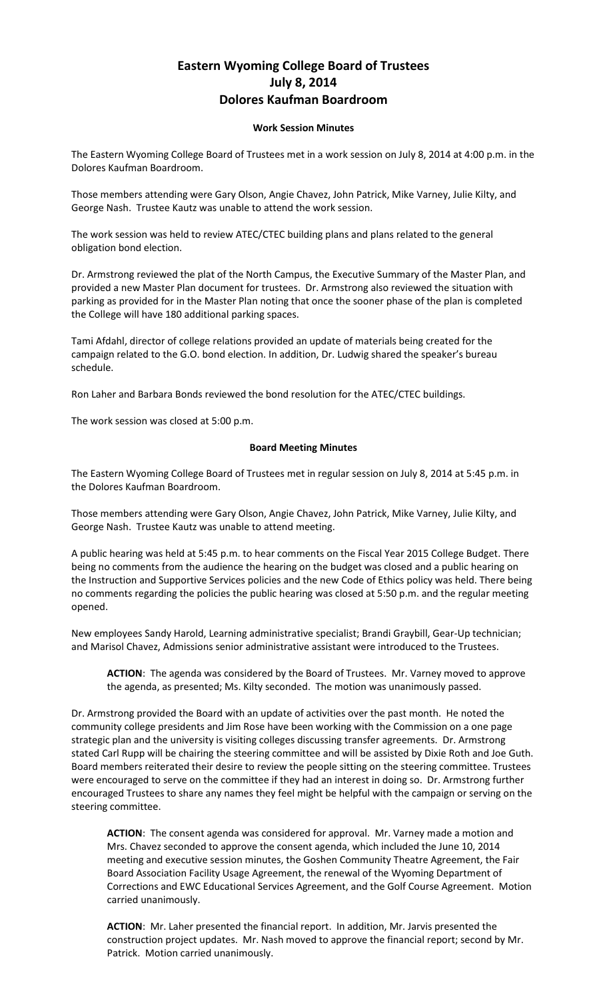## **Eastern Wyoming College Board of Trustees July 8, 2014 Dolores Kaufman Boardroom**

## **Work Session Minutes**

The Eastern Wyoming College Board of Trustees met in a work session on July 8, 2014 at 4:00 p.m. in the Dolores Kaufman Boardroom.

Those members attending were Gary Olson, Angie Chavez, John Patrick, Mike Varney, Julie Kilty, and George Nash. Trustee Kautz was unable to attend the work session.

The work session was held to review ATEC/CTEC building plans and plans related to the general obligation bond election.

Dr. Armstrong reviewed the plat of the North Campus, the Executive Summary of the Master Plan, and provided a new Master Plan document for trustees. Dr. Armstrong also reviewed the situation with parking as provided for in the Master Plan noting that once the sooner phase of the plan is completed the College will have 180 additional parking spaces.

Tami Afdahl, director of college relations provided an update of materials being created for the campaign related to the G.O. bond election. In addition, Dr. Ludwig shared the speaker's bureau schedule.

Ron Laher and Barbara Bonds reviewed the bond resolution for the ATEC/CTEC buildings.

The work session was closed at 5:00 p.m.

## **Board Meeting Minutes**

The Eastern Wyoming College Board of Trustees met in regular session on July 8, 2014 at 5:45 p.m. in the Dolores Kaufman Boardroom.

Those members attending were Gary Olson, Angie Chavez, John Patrick, Mike Varney, Julie Kilty, and George Nash. Trustee Kautz was unable to attend meeting.

A public hearing was held at 5:45 p.m. to hear comments on the Fiscal Year 2015 College Budget. There being no comments from the audience the hearing on the budget was closed and a public hearing on the Instruction and Supportive Services policies and the new Code of Ethics policy was held. There being no comments regarding the policies the public hearing was closed at 5:50 p.m. and the regular meeting opened.

New employees Sandy Harold, Learning administrative specialist; Brandi Graybill, Gear-Up technician; and Marisol Chavez, Admissions senior administrative assistant were introduced to the Trustees.

**ACTION**: The agenda was considered by the Board of Trustees. Mr. Varney moved to approve the agenda, as presented; Ms. Kilty seconded. The motion was unanimously passed.

Dr. Armstrong provided the Board with an update of activities over the past month. He noted the community college presidents and Jim Rose have been working with the Commission on a one page strategic plan and the university is visiting colleges discussing transfer agreements. Dr. Armstrong stated Carl Rupp will be chairing the steering committee and will be assisted by Dixie Roth and Joe Guth. Board members reiterated their desire to review the people sitting on the steering committee. Trustees were encouraged to serve on the committee if they had an interest in doing so. Dr. Armstrong further encouraged Trustees to share any names they feel might be helpful with the campaign or serving on the steering committee.

**ACTION**: The consent agenda was considered for approval. Mr. Varney made a motion and Mrs. Chavez seconded to approve the consent agenda, which included the June 10, 2014 meeting and executive session minutes, the Goshen Community Theatre Agreement, the Fair Board Association Facility Usage Agreement, the renewal of the Wyoming Department of Corrections and EWC Educational Services Agreement, and the Golf Course Agreement. Motion carried unanimously.

**ACTION**: Mr. Laher presented the financial report. In addition, Mr. Jarvis presented the construction project updates. Mr. Nash moved to approve the financial report; second by Mr. Patrick. Motion carried unanimously.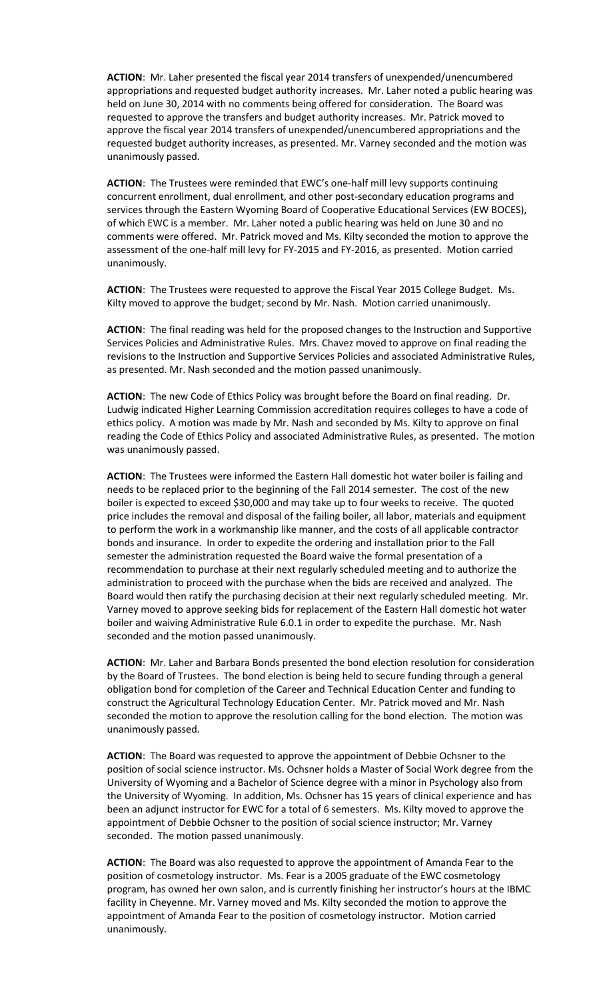**ACTION**: Mr. Laher presented the fiscal year 2014 transfers of unexpended/unencumbered appropriations and requested budget authority increases. Mr. Laher noted a public hearing was held on June 30, 2014 with no comments being offered for consideration. The Board was requested to approve the transfers and budget authority increases. Mr. Patrick moved to approve the fiscal year 2014 transfers of unexpended/unencumbered appropriations and the requested budget authority increases, as presented. Mr. Varney seconded and the motion was unanimously passed.

**ACTION**: The Trustees were reminded that EWC's one-half mill levy supports continuing concurrent enrollment, dual enrollment, and other post-secondary education programs and services through the Eastern Wyoming Board of Cooperative Educational Services (EW BOCES), of which EWC is a member. Mr. Laher noted a public hearing was held on June 30 and no comments were offered. Mr. Patrick moved and Ms. Kilty seconded the motion to approve the assessment of the one-half mill levy for FY-2015 and FY-2016, as presented. Motion carried unanimously.

**ACTION**: The Trustees were requested to approve the Fiscal Year 2015 College Budget. Ms. Kilty moved to approve the budget; second by Mr. Nash. Motion carried unanimously.

**ACTION**: The final reading was held for the proposed changes to the Instruction and Supportive Services Policies and Administrative Rules. Mrs. Chavez moved to approve on final reading the revisions to the Instruction and Supportive Services Policies and associated Administrative Rules, as presented. Mr. Nash seconded and the motion passed unanimously.

**ACTION**: The new Code of Ethics Policy was brought before the Board on final reading. Dr. Ludwig indicated Higher Learning Commission accreditation requires colleges to have a code of ethics policy. A motion was made by Mr. Nash and seconded by Ms. Kilty to approve on final reading the Code of Ethics Policy and associated Administrative Rules, as presented. The motion was unanimously passed.

**ACTION**: The Trustees were informed the Eastern Hall domestic hot water boiler is failing and needs to be replaced prior to the beginning of the Fall 2014 semester. The cost of the new boiler is expected to exceed \$30,000 and may take up to four weeks to receive. The quoted price includes the removal and disposal of the failing boiler, all labor, materials and equipment to perform the work in a workmanship like manner, and the costs of all applicable contractor bonds and insurance. In order to expedite the ordering and installation prior to the Fall semester the administration requested the Board waive the formal presentation of a recommendation to purchase at their next regularly scheduled meeting and to authorize the administration to proceed with the purchase when the bids are received and analyzed. The Board would then ratify the purchasing decision at their next regularly scheduled meeting. Mr. Varney moved to approve seeking bids for replacement of the Eastern Hall domestic hot water boiler and waiving Administrative Rule 6.0.1 in order to expedite the purchase. Mr. Nash seconded and the motion passed unanimously.

**ACTION**: Mr. Laher and Barbara Bonds presented the bond election resolution for consideration by the Board of Trustees. The bond election is being held to secure funding through a general obligation bond for completion of the Career and Technical Education Center and funding to construct the Agricultural Technology Education Center. Mr. Patrick moved and Mr. Nash seconded the motion to approve the resolution calling for the bond election. The motion was unanimously passed.

**ACTION**: The Board was requested to approve the appointment of Debbie Ochsner to the position of social science instructor. Ms. Ochsner holds a Master of Social Work degree from the University of Wyoming and a Bachelor of Science degree with a minor in Psychology also from the University of Wyoming. In addition, Ms. Ochsner has 15 years of clinical experience and has been an adjunct instructor for EWC for a total of 6 semesters. Ms. Kilty moved to approve the appointment of Debbie Ochsner to the position of social science instructor; Mr. Varney seconded. The motion passed unanimously.

**ACTION**: The Board was also requested to approve the appointment of Amanda Fear to the position of cosmetology instructor. Ms. Fear is a 2005 graduate of the EWC cosmetology program, has owned her own salon, and is currently finishing her instructor's hours at the IBMC facility in Cheyenne. Mr. Varney moved and Ms. Kilty seconded the motion to approve the appointment of Amanda Fear to the position of cosmetology instructor. Motion carried unanimously.